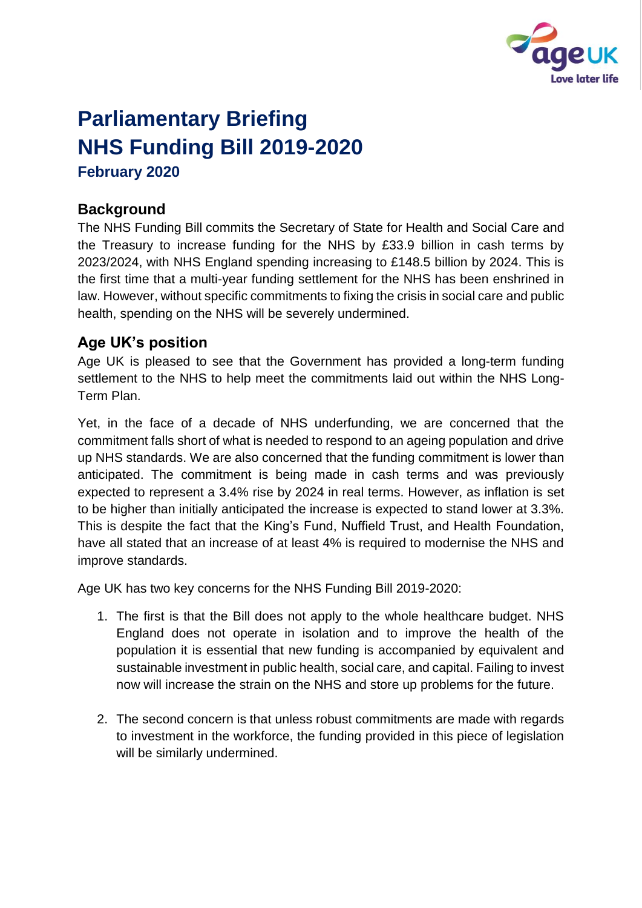

# **Parliamentary Briefing NHS Funding Bill 2019-2020 February 2020**

## **Background**

The NHS Funding Bill commits the Secretary of State for Health and Social Care and the Treasury to increase funding for the NHS by £33.9 billion in cash terms by 2023/2024, with NHS England spending increasing to £148.5 billion by 2024. This is the first time that a multi-year funding settlement for the NHS has been enshrined in law. However, without specific commitments to fixing the crisis in social care and public health, spending on the NHS will be severely undermined.

# **Age UK's position**

Age UK is pleased to see that the Government has provided a long-term funding settlement to the NHS to help meet the commitments laid out within the NHS Long-Term Plan.

Yet, in the face of a decade of NHS underfunding, we are concerned that the commitment falls short of what is needed to respond to an ageing population and drive up NHS standards. We are also concerned that the funding commitment is lower than anticipated. The commitment is being made in cash terms and was previously expected to represent a 3.4% rise by 2024 in real terms. However, as inflation is set to be higher than initially anticipated the increase is expected to stand lower at 3.3%. This is despite the fact that the King's Fund, Nuffield Trust, and Health Foundation, have all stated that an increase of at least 4% is required to modernise the NHS and improve standards.

Age UK has two key concerns for the NHS Funding Bill 2019-2020:

- 1. The first is that the Bill does not apply to the whole healthcare budget. NHS England does not operate in isolation and to improve the health of the population it is essential that new funding is accompanied by equivalent and sustainable investment in public health, social care, and capital. Failing to invest now will increase the strain on the NHS and store up problems for the future.
- 2. The second concern is that unless robust commitments are made with regards to investment in the workforce, the funding provided in this piece of legislation will be similarly undermined.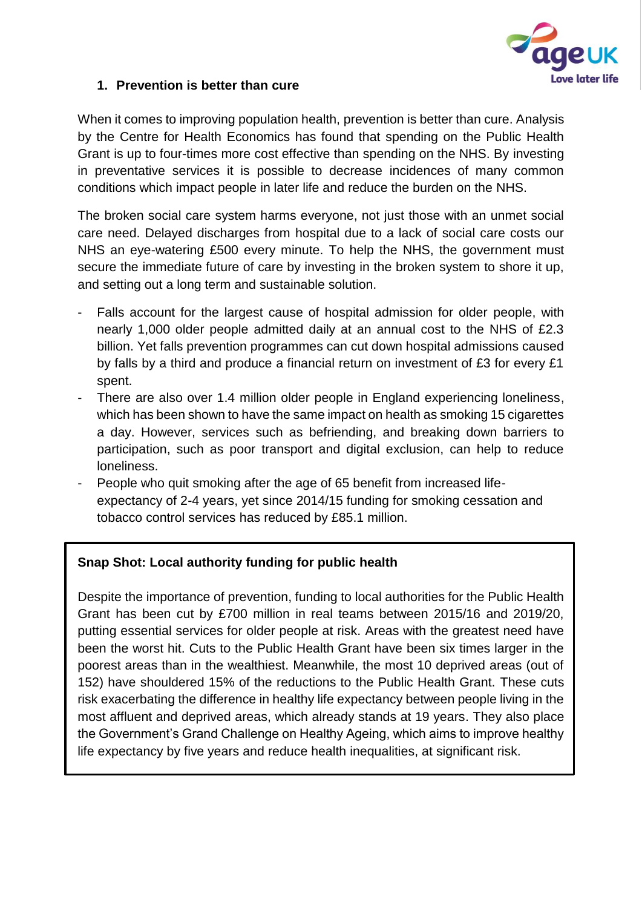

#### **1. Prevention is better than cure**

When it comes to improving population health, prevention is better than cure. Analysis by the Centre for Health Economics has found that spending on the Public Health Grant is up to four-times more cost effective than spending on the NHS. By investing in preventative services it is possible to decrease incidences of many common conditions which impact people in later life and reduce the burden on the NHS.

The broken social care system harms everyone, not just those with an unmet social care need. Delayed discharges from hospital due to a lack of social care costs our NHS an eye-watering £500 every minute. To help the NHS, the government must secure the immediate future of care by investing in the broken system to shore it up, and setting out a long term and sustainable solution.

- Falls account for the largest cause of hospital admission for older people, with nearly 1,000 older people admitted daily at an annual cost to the NHS of £2.3 billion. Yet falls prevention programmes can cut down hospital admissions caused by falls by a third and produce a financial return on investment of £3 for every £1 spent.
- There are also over 1.4 million older people in England experiencing loneliness, which has been shown to have the same impact on health as smoking 15 cigarettes a day. However, services such as befriending, and breaking down barriers to participation, such as poor transport and digital exclusion, can help to reduce loneliness.
- People who quit smoking after the age of 65 benefit from increased lifeexpectancy of 2-4 years, yet since 2014/15 funding for smoking cessation and tobacco control services has reduced by £85.1 million.

## **Snap Shot: Local authority funding for public health**

Despite the importance of prevention, funding to local authorities for the Public Health Grant has been cut by £700 million in real teams between 2015/16 and 2019/20, putting essential services for older people at risk. Areas with the greatest need have been the worst hit. Cuts to the Public Health Grant have been six times larger in the poorest areas than in the wealthiest. Meanwhile, the most 10 deprived areas (out of 152) have shouldered 15% of the reductions to the Public Health Grant. These cuts risk exacerbating the difference in healthy life expectancy between people living in the most affluent and deprived areas, which already stands at 19 years. They also place the Government's Grand Challenge on Healthy Ageing, which aims to improve healthy life expectancy by five years and reduce health inequalities, at significant risk.